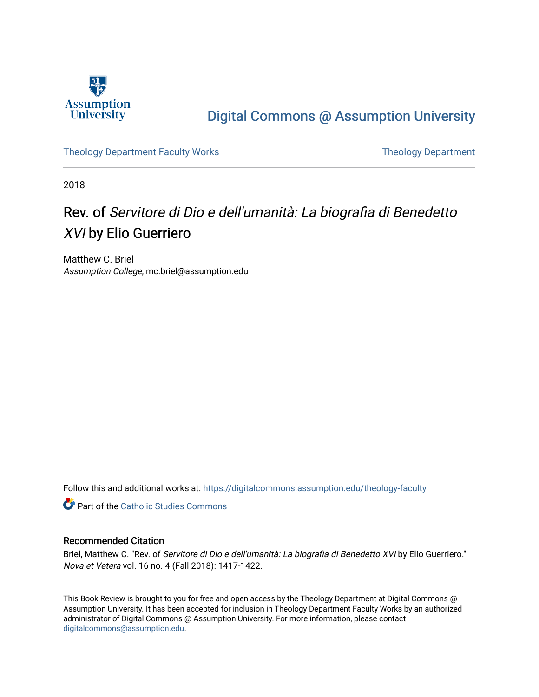

## [Digital Commons @ Assumption University](https://digitalcommons.assumption.edu/)

[Theology Department Faculty Works](https://digitalcommons.assumption.edu/theology-faculty) Theology Department

2018

# Rev. of Servitore di Dio e dell'umanità: La biografia di Benedetto XVI by Elio Guerriero

Matthew C. Briel Assumption College, mc.briel@assumption.edu

Follow this and additional works at: [https://digitalcommons.assumption.edu/theology-faculty](https://digitalcommons.assumption.edu/theology-faculty?utm_source=digitalcommons.assumption.edu%2Ftheology-faculty%2F13&utm_medium=PDF&utm_campaign=PDFCoverPages) 

**Part of the [Catholic Studies Commons](http://network.bepress.com/hgg/discipline/1294?utm_source=digitalcommons.assumption.edu%2Ftheology-faculty%2F13&utm_medium=PDF&utm_campaign=PDFCoverPages)** 

#### Recommended Citation

Briel, Matthew C. "Rev. of Servitore di Dio e dell'umanità: La biografia di Benedetto XVI by Elio Guerriero." Nova et Vetera vol. 16 no. 4 (Fall 2018): 1417-1422.

This Book Review is brought to you for free and open access by the Theology Department at Digital Commons @ Assumption University. It has been accepted for inclusion in Theology Department Faculty Works by an authorized administrator of Digital Commons @ Assumption University. For more information, please contact [digitalcommons@assumption.edu](mailto:digitalcommons@assumption.edu).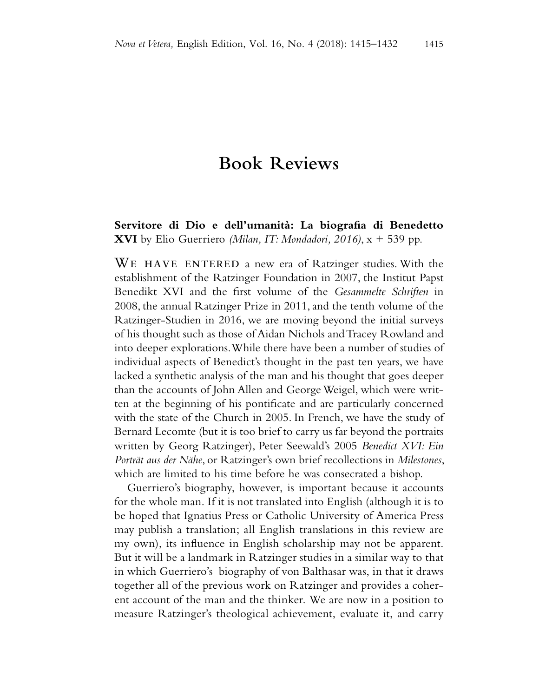### **Book Reviews**

### **Servitore di Dio e dell'umanità: La biografia di Benedetto XVI** by Elio Guerriero *(Milan, IT: Mondadori, 2016)*, x + 539 pp.

WE HAVE ENTERED a new era of Ratzinger studies. With the establishment of the Ratzinger Foundation in 2007, the Institut Papst Benedikt XVI and the first volume of the *Gesammelte Schriften* in 2008, the annual Ratzinger Prize in 2011, and the tenth volume of the Ratzinger-Studien in 2016, we are moving beyond the initial surveys of his thought such as those of Aidan Nichols and Tracey Rowland and into deeper explorations. While there have been a number of studies of individual aspects of Benedict's thought in the past ten years, we have lacked a synthetic analysis of the man and his thought that goes deeper than the accounts of John Allen and George Weigel, which were written at the beginning of his pontificate and are particularly concerned with the state of the Church in 2005. In French, we have the study of Bernard Lecomte (but it is too brief to carry us far beyond the portraits written by Georg Ratzinger), Peter Seewald's 2005 *Benedict XVI: Ein Porträt aus der Nähe*, or Ratzinger's own brief recollections in *Milestones*, which are limited to his time before he was consecrated a bishop.

Guerriero's biography, however, is important because it accounts for the whole man. If it is not translated into English (although it is to be hoped that Ignatius Press or Catholic University of America Press may publish a translation; all English translations in this review are my own), its influence in English scholarship may not be apparent. But it will be a landmark in Ratzinger studies in a similar way to that in which Guerriero's biography of von Balthasar was, in that it draws together all of the previous work on Ratzinger and provides a coherent account of the man and the thinker. We are now in a position to measure Ratzinger's theological achievement, evaluate it, and carry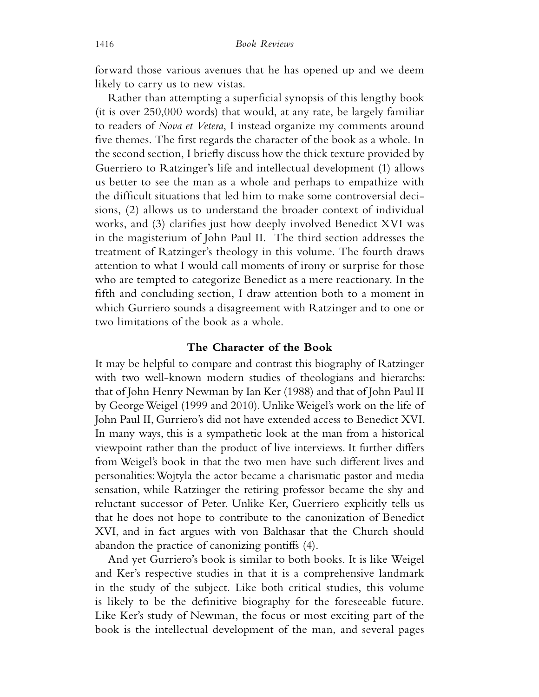forward those various avenues that he has opened up and we deem likely to carry us to new vistas.

Rather than attempting a superficial synopsis of this lengthy book (it is over 250,000 words) that would, at any rate, be largely familiar to readers of *Nova et Vetera*, I instead organize my comments around five themes. The first regards the character of the book as a whole. In the second section, I briefly discuss how the thick texture provided by Guerriero to Ratzinger's life and intellectual development (1) allows us better to see the man as a whole and perhaps to empathize with the difficult situations that led him to make some controversial decisions, (2) allows us to understand the broader context of individual works, and (3) clarifies just how deeply involved Benedict XVI was in the magisterium of John Paul II. The third section addresses the treatment of Ratzinger's theology in this volume. The fourth draws attention to what I would call moments of irony or surprise for those who are tempted to categorize Benedict as a mere reactionary. In the fifth and concluding section, I draw attention both to a moment in which Gurriero sounds a disagreement with Ratzinger and to one or two limitations of the book as a whole.

#### **The Character of the Book**

It may be helpful to compare and contrast this biography of Ratzinger with two well-known modern studies of theologians and hierarchs: that of John Henry Newman by Ian Ker (1988) and that of John Paul II by George Weigel (1999 and 2010). Unlike Weigel's work on the life of John Paul II, Gurriero's did not have extended access to Benedict XVI. In many ways, this is a sympathetic look at the man from a historical viewpoint rather than the product of live interviews. It further differs from Weigel's book in that the two men have such different lives and personalities: Wojtyla the actor became a charismatic pastor and media sensation, while Ratzinger the retiring professor became the shy and reluctant successor of Peter. Unlike Ker, Guerriero explicitly tells us that he does not hope to contribute to the canonization of Benedict XVI, and in fact argues with von Balthasar that the Church should abandon the practice of canonizing pontiffs (4).

And yet Gurriero's book is similar to both books. It is like Weigel and Ker's respective studies in that it is a comprehensive landmark in the study of the subject. Like both critical studies, this volume is likely to be the definitive biography for the foreseeable future. Like Ker's study of Newman, the focus or most exciting part of the book is the intellectual development of the man, and several pages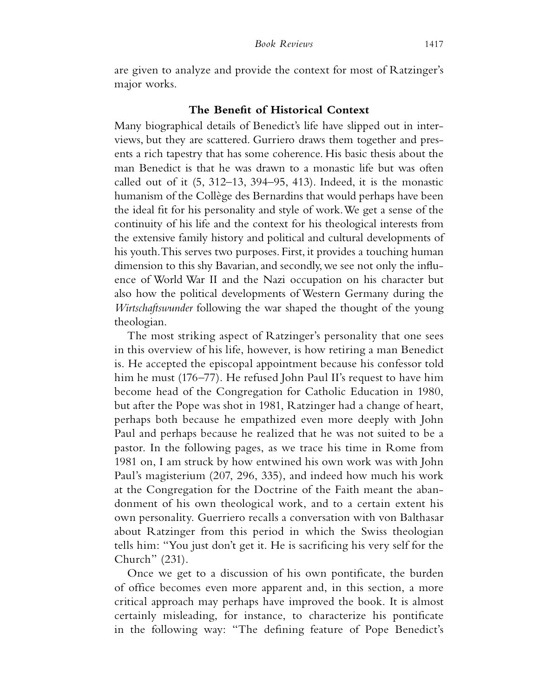are given to analyze and provide the context for most of Ratzinger's major works.

#### **The Benefit of Historical Context**

Many biographical details of Benedict's life have slipped out in interviews, but they are scattered. Gurriero draws them together and presents a rich tapestry that has some coherence. His basic thesis about the man Benedict is that he was drawn to a monastic life but was often called out of it  $(5, 312-13, 394-95, 413)$ . Indeed, it is the monastic humanism of the Collège des Bernardins that would perhaps have been the ideal fit for his personality and style of work. We get a sense of the continuity of his life and the context for his theological interests from the extensive family history and political and cultural developments of his youth. This serves two purposes. First, it provides a touching human dimension to this shy Bavarian, and secondly, we see not only the influence of World War II and the Nazi occupation on his character but also how the political developments of Western Germany during the *Wirtschaftswunder* following the war shaped the thought of the young theologian.

The most striking aspect of Ratzinger's personality that one sees in this overview of his life, however, is how retiring a man Benedict is. He accepted the episcopal appointment because his confessor told him he must (176–77). He refused John Paul II's request to have him become head of the Congregation for Catholic Education in 1980, but after the Pope was shot in 1981, Ratzinger had a change of heart, perhaps both because he empathized even more deeply with John Paul and perhaps because he realized that he was not suited to be a pastor. In the following pages, as we trace his time in Rome from 1981 on, I am struck by how entwined his own work was with John Paul's magisterium (207, 296, 335), and indeed how much his work at the Congregation for the Doctrine of the Faith meant the abandonment of his own theological work, and to a certain extent his own personality. Guerriero recalls a conversation with von Balthasar about Ratzinger from this period in which the Swiss theologian tells him: "You just don't get it. He is sacrificing his very self for the Church" (231).

Once we get to a discussion of his own pontificate, the burden of office becomes even more apparent and, in this section, a more critical approach may perhaps have improved the book. It is almost certainly misleading, for instance, to characterize his pontificate in the following way: "The defining feature of Pope Benedict's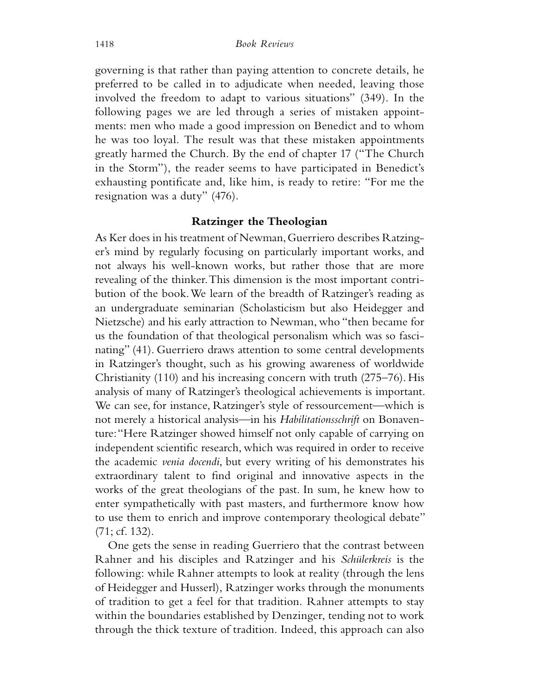governing is that rather than paying attention to concrete details, he preferred to be called in to adjudicate when needed, leaving those involved the freedom to adapt to various situations" (349). In the following pages we are led through a series of mistaken appointments: men who made a good impression on Benedict and to whom he was too loyal. The result was that these mistaken appointments greatly harmed the Church. By the end of chapter 17 ("The Church in the Storm"), the reader seems to have participated in Benedict's exhausting pontificate and, like him, is ready to retire: "For me the resignation was a duty" (476).

#### **Ratzinger the Theologian**

As Ker does in his treatment of Newman, Guerriero describes Ratzinger's mind by regularly focusing on particularly important works, and not always his well-known works, but rather those that are more revealing of the thinker. This dimension is the most important contribution of the book. We learn of the breadth of Ratzinger's reading as an undergraduate seminarian (Scholasticism but also Heidegger and Nietzsche) and his early attraction to Newman, who "then became for us the foundation of that theological personalism which was so fascinating" (41). Guerriero draws attention to some central developments in Ratzinger's thought, such as his growing awareness of worldwide Christianity (110) and his increasing concern with truth (275–76). His analysis of many of Ratzinger's theological achievements is important. We can see, for instance, Ratzinger's style of ressourcement—which is not merely a historical analysis—in his *Habilitationsschrift* on Bonaventure: "Here Ratzinger showed himself not only capable of carrying on independent scientific research, which was required in order to receive the academic *venia docendi*, but every writing of his demonstrates his extraordinary talent to find original and innovative aspects in the works of the great theologians of the past. In sum, he knew how to enter sympathetically with past masters, and furthermore know how to use them to enrich and improve contemporary theological debate" (71; cf. 132).

One gets the sense in reading Guerriero that the contrast between Rahner and his disciples and Ratzinger and his *Schülerkreis* is the following: while Rahner attempts to look at reality (through the lens of Heidegger and Husserl), Ratzinger works through the monuments of tradition to get a feel for that tradition. Rahner attempts to stay within the boundaries established by Denzinger, tending not to work through the thick texture of tradition. Indeed, this approach can also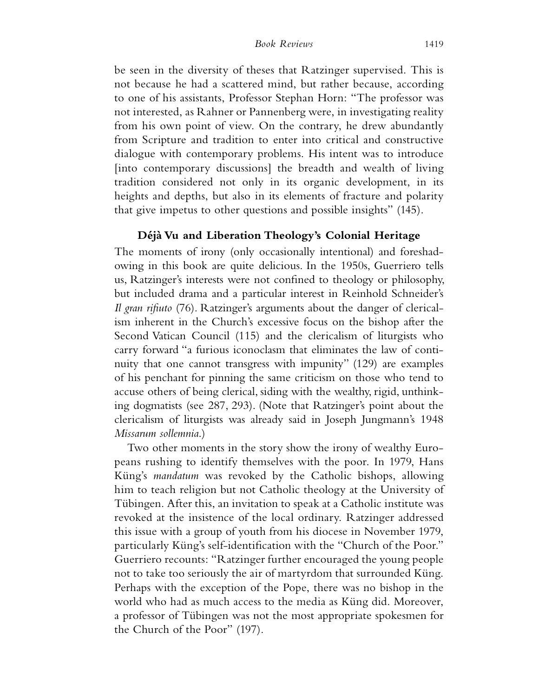be seen in the diversity of theses that Ratzinger supervised. This is not because he had a scattered mind, but rather because, according to one of his assistants, Professor Stephan Horn: "The professor was not interested, as Rahner or Pannenberg were, in investigating reality from his own point of view. On the contrary, he drew abundantly from Scripture and tradition to enter into critical and constructive dialogue with contemporary problems. His intent was to introduce [into contemporary discussions] the breadth and wealth of living tradition considered not only in its organic development, in its heights and depths, but also in its elements of fracture and polarity that give impetus to other questions and possible insights" (145).

#### **Déjà Vu and Liberation Theology's Colonial Heritage**

The moments of irony (only occasionally intentional) and foreshadowing in this book are quite delicious. In the 1950s, Guerriero tells us, Ratzinger's interests were not confined to theology or philosophy, but included drama and a particular interest in Reinhold Schneider's *Il gran rifiuto* (76). Ratzinger's arguments about the danger of clericalism inherent in the Church's excessive focus on the bishop after the Second Vatican Council (115) and the clericalism of liturgists who carry forward "a furious iconoclasm that eliminates the law of continuity that one cannot transgress with impunity" (129) are examples of his penchant for pinning the same criticism on those who tend to accuse others of being clerical, siding with the wealthy, rigid, unthinking dogmatists (see 287, 293). (Note that Ratzinger's point about the clericalism of liturgists was already said in Joseph Jungmann's 1948 *Missarum sollemnia*.)

Two other moments in the story show the irony of wealthy Europeans rushing to identify themselves with the poor. In 1979, Hans Küng's *mandatum* was revoked by the Catholic bishops, allowing him to teach religion but not Catholic theology at the University of Tübingen. After this, an invitation to speak at a Catholic institute was revoked at the insistence of the local ordinary. Ratzinger addressed this issue with a group of youth from his diocese in November 1979, particularly Küng's self-identification with the "Church of the Poor." Guerriero recounts: "Ratzinger further encouraged the young people not to take too seriously the air of martyrdom that surrounded Küng. Perhaps with the exception of the Pope, there was no bishop in the world who had as much access to the media as Küng did. Moreover, a professor of Tübingen was not the most appropriate spokesmen for the Church of the Poor" (197).